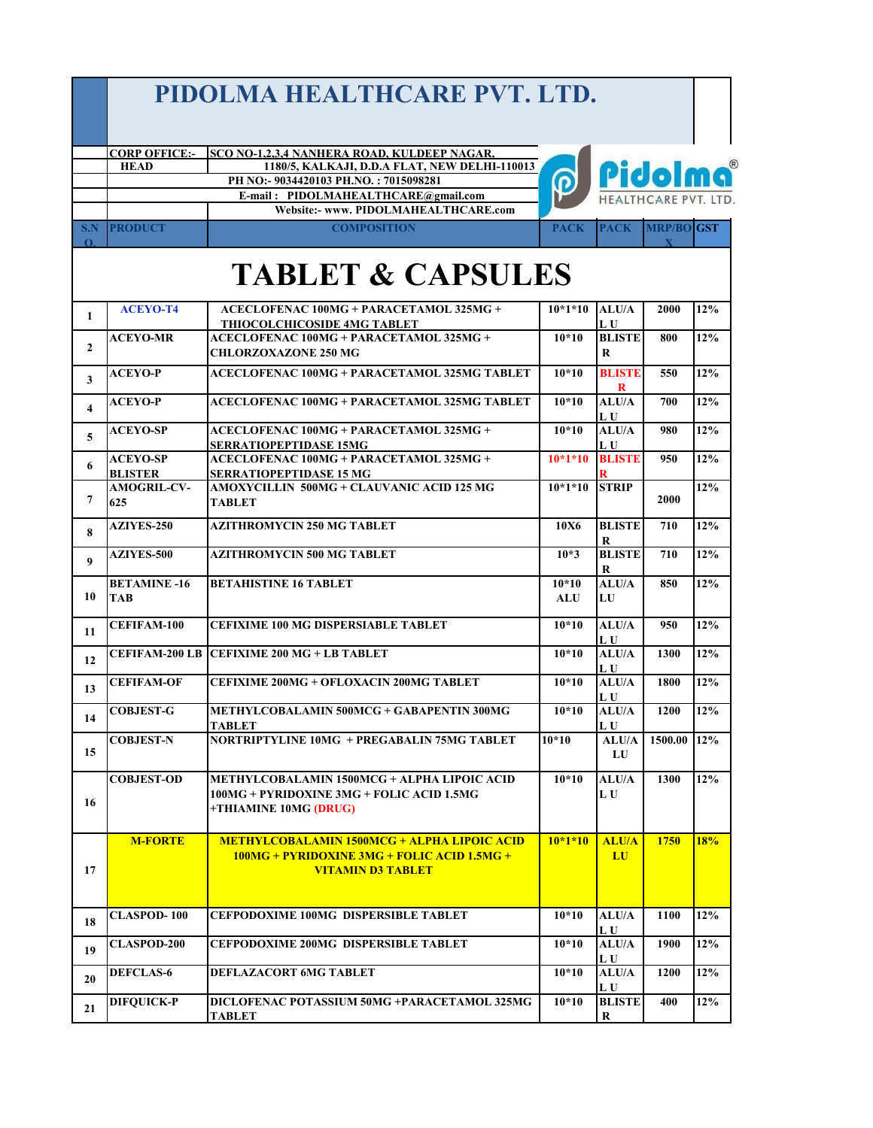| PIDOLMA HEALTHCARE PVT. LTD. |
|------------------------------|
|------------------------------|

|             | <u> CORP OFFICE:-   SCO NO-1.2.3.4 NANHERA ROAD. KULDEEP NAGAR.</u> |  |                      |
|-------------|---------------------------------------------------------------------|--|----------------------|
| <b>HEAD</b> | 1180/5, KALKAJI, D.D.A FLAT, NEW DELHI-110013                       |  |                      |
|             | PH NO:- 9034420103 PH.NO.: 7015098281                               |  | <b>UCLE</b>          |
|             | E-mail: PIDOLMAHEALTHCARE@gmail.com                                 |  | <b>HEALTHCARE PY</b> |
|             | Website:- www. PIDOLMAHEALTHCARE.com                                |  |                      |
|             |                                                                     |  |                      |

**O.**



**X MRP/BO** GST

## **TABLET & CAPSULES**

| $\mathbf{1}$            | <b>ACEYO-T4</b>                   | ACECLOFENAC 100MG + PARACETAMOL 325MG +<br><b>THIOCOLCHICOSIDE 4MG TABLET</b>                                                   | $10*1*10$             | <b>ALU/A</b><br>L U            | 2000    | 12% |
|-------------------------|-----------------------------------|---------------------------------------------------------------------------------------------------------------------------------|-----------------------|--------------------------------|---------|-----|
| $\mathbf{2}$            | <b>ACEYO-MR</b>                   | ACECLOFENAC 100MG + PARACETAMOL 325MG +<br><b>CHLORZOXAZONE 250 MG</b>                                                          | $10*10$               | <b>BLISTE</b><br>R             | 800     | 12% |
| 3                       | <b>ACEYO-P</b>                    | ACECLOFENAC 100MG + PARACETAMOL 325MG TABLET                                                                                    | $10*10$               | <b>BLISTE</b><br>R             | 550     | 12% |
| $\overline{\mathbf{4}}$ | <b>ACEYO-P</b>                    | ACECLOFENAC 100MG + PARACETAMOL 325MG TABLET                                                                                    | $10*10$               | <b>ALU/A</b><br>LU <sub></sub> | 700     | 12% |
| 5                       | <b>ACEYO-SP</b>                   | ACECLOFENAC 100MG + PARACETAMOL 325MG +<br><b>SERRATIOPEPTIDASE 15MG</b>                                                        | $10*10$               | ALU/A<br>L U                   | 980     | 12% |
| 6                       | <b>ACEYO-SP</b><br><b>BLISTER</b> | ACECLOFENAC 100MG + PARACETAMOL 325MG +<br><b>SERRATIOPEPTIDASE 15 MG</b>                                                       | $10*1*10$             | <b>BLISTE</b>                  | 950     | 12% |
| $\overline{7}$          | <b>AMOGRIL-CV-</b><br>625         | AMOXYCILLIN 500MG + CLAUVANIC ACID 125 MG<br><b>TABLET</b>                                                                      | $10*1*10$             | <b>STRIP</b>                   | 2000    | 12% |
| 8                       | <b>AZIYES-250</b>                 | AZITHROMYCIN 250 MG TABLET                                                                                                      | <b>10X6</b>           | <b>BLISTE</b><br>R             | 710     | 12% |
| 9                       | <b>AZIYES-500</b>                 | <b>AZITHROMYCIN 500 MG TABLET</b>                                                                                               | $10*3$                | <b>BLISTE</b><br>R             | 710     | 12% |
| 10                      | <b>BETAMINE-16</b><br><b>TAB</b>  | <b>BETAHISTINE 16 TABLET</b>                                                                                                    | $10*10$<br><b>ALU</b> | ALU/A<br>LU                    | 850     | 12% |
| 11                      | <b>CEFIFAM-100</b>                | <b>CEFIXIME 100 MG DISPERSIABLE TABLET</b>                                                                                      | $10*10$               | ALU/A<br>LU                    | 950     | 12% |
| 12                      |                                   | <b>CEFIFAM-200 LB CEFIXIME 200 MG + LB TABLET</b>                                                                               | $10*10$               | ALU/A<br>LU                    | 1300    | 12% |
| 13                      | <b>CEFIFAM-OF</b>                 | <b>CEFIXIME 200MG + OFLOXACIN 200MG TABLET</b>                                                                                  | $10*10$               | ALU/A<br>LU                    | 1800    | 12% |
| 14                      | <b>COBJEST-G</b>                  | METHYLCOBALAMIN 500MCG + GABAPENTIN 300MG<br><b>TABLET</b>                                                                      | $10*10$               | <b>ALU/A</b><br>L U            | 1200    | 12% |
| 15                      | <b>COBJEST-N</b>                  | NORTRIPTYLINE 10MG + PREGABALIN 75MG TABLET                                                                                     | $10*10$               | ALU/A<br>LU                    | 1500.00 | 12% |
| 16                      | <b>COBJEST-OD</b>                 | METHYLCOBALAMIN 1500MCG + ALPHA LIPOIC ACID<br>100MG + PYRIDOXINE 3MG + FOLIC ACID 1.5MG<br>+THIAMINE 10MG (DRUG)               | $10*10$               | ALU/A<br>LU                    | 1300    | 12% |
| 17                      | <b>M-FORTE</b>                    | <b>METHYLCOBALAMIN 1500MCG + ALPHA LIPOIC ACID</b><br>$100MG + PYRIDOXINE 3MG + FOLIC ACID 1.5MG +$<br><b>VITAMIN D3 TABLET</b> | $10*1*10$             | <b>ALU/A</b><br>LU             | 1750    | 18% |
| 18                      | <b>CLASPOD-100</b>                | <b>CEFPODOXIME 100MG DISPERSIBLE TABLET</b>                                                                                     | $10*10$               | ALU/A<br>L U                   | 1100    | 12% |
| 19                      | <b>CLASPOD-200</b>                | CEFPODOXIME 200MG DISPERSIBLE TABLET                                                                                            | $10*10$               | <b>ALU/A</b><br>L U            | 1900    | 12% |
| 20                      | <b>DEFCLAS-6</b>                  | <b>DEFLAZACORT 6MG TABLET</b>                                                                                                   | $10*10$               | ALU/A<br>L U                   | 1200    | 12% |
| 21                      | <b>DIFQUICK-P</b>                 | DICLOFENAC POTASSIUM 50MG +PARACETAMOL 325MG<br><b>TABLET</b>                                                                   | $10*10$               | <b>BLISTE</b><br>$\bf R$       | 400     | 12% |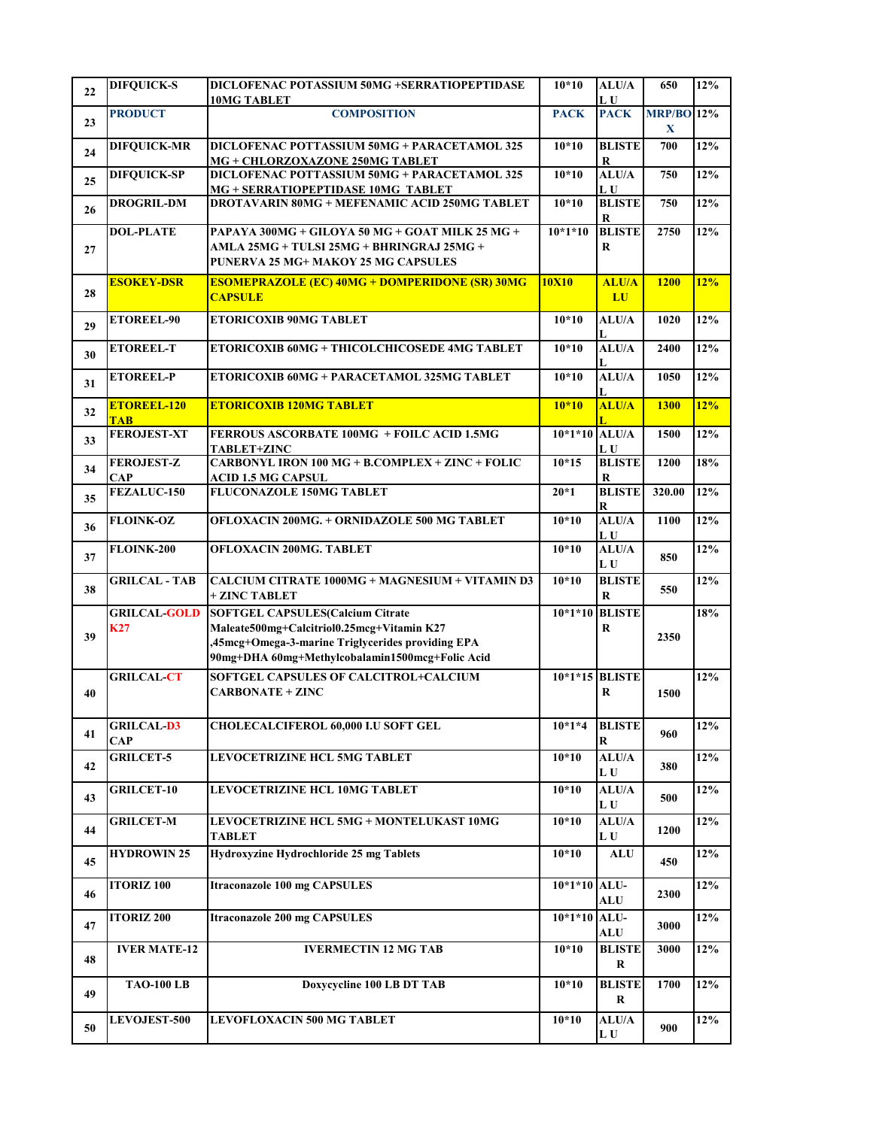| 22 | <b>DIFQUICK-S</b>                      | DICLOFENAC POTASSIUM 50MG +SERRATIOPEPTIDASE<br><b>10MG TABLET</b>                                                                                                                            | $10*10$         | ALU/A<br>LU                             | 650                    | 12%               |
|----|----------------------------------------|-----------------------------------------------------------------------------------------------------------------------------------------------------------------------------------------------|-----------------|-----------------------------------------|------------------------|-------------------|
| 23 | <b>PRODUCT</b>                         | <b>COMPOSITION</b>                                                                                                                                                                            | <b>PACK</b>     | <b>PACK</b>                             | <b>MRP/BO 12%</b><br>X |                   |
| 24 | <b>DIFQUICK-MR</b>                     | DICLOFENAC POTTASSIUM 50MG + PARACETAMOL 325<br>MG + CHLORZOXAZONE 250MG TABLET                                                                                                               | $10*10$         | <b>BLISTE</b><br>R                      | 700                    | 12%               |
| 25 | <b>DIFQUICK-SP</b>                     | DICLOFENAC POTTASSIUM 50MG + PARACETAMOL 325<br>MG + SERRATIOPEPTIDASE 10MG TABLET                                                                                                            | $10*10$         | <b>ALU/A</b><br>L U                     | 750                    | 12%               |
| 26 | <b>DROGRIL-DM</b>                      | <b>DROTAVARIN 80MG + MEFENAMIC ACID 250MG TABLET</b>                                                                                                                                          | $10*10$         | <b>BLISTE</b><br>$\bf R$                | 750                    | 12%               |
| 27 | <b>DOL-PLATE</b>                       | PAPAYA 300MG + GILOYA 50 MG + GOAT MILK 25 MG +<br>AMLA 25MG + TULSI 25MG + BHRINGRAJ 25MG +<br>PUNERVA 25 MG+ MAKOY 25 MG CAPSULES                                                           | $10*1*10$       | <b>BLISTE</b><br>R                      | 2750                   | 12%               |
| 28 | <b>ESOKEY-DSR</b>                      | <b>ESOMEPRAZOLE (EC) 40MG + DOMPERIDONE (SR) 30MG</b><br><b>CAPSULE</b>                                                                                                                       | <b>10X10</b>    | <b>ALU/A</b><br>LU                      | <b>1200</b>            | 12%               |
| 29 | ETOREEL-90                             | <b>ETORICOXIB 90MG TABLET</b>                                                                                                                                                                 | $10*10$         | <b>ALU/A</b><br>L                       | 1020                   | 12%               |
| 30 | <b>ETOREEL-T</b>                       | ETORICOXIB 60MG + THICOLCHICOSEDE 4MG TABLET                                                                                                                                                  | $10*10$         | ALU/A                                   | 2400                   | 12%               |
| 31 | <b>ETOREEL-P</b>                       | ETORICOXIB 60MG + PARACETAMOL 325MG TABLET                                                                                                                                                    | $10*10$         | ALU/A                                   | 1050                   | 12%               |
| 32 | <b>ETOREEL-120</b><br><b>TAB</b>       | <b>ETORICOXIB 120MG TABLET</b>                                                                                                                                                                | $10*10$         | <b>ALU/A</b><br>L                       | <b>1300</b>            | 12%               |
| 33 | <b>FEROJEST-XT</b>                     | FERROUS ASCORBATE 100MG + FOILC ACID 1.5MG<br>TABLET+ZINC                                                                                                                                     | $10*1*10$ ALU/A | LU                                      | 1500                   | 12%               |
| 34 | <b>FEROJEST-Z</b><br><b>CAP</b>        | CARBONYL IRON 100 MG + B.COMPLEX + ZINC + FOLIC<br><b>ACID 1.5 MG CAPSUL</b>                                                                                                                  | $10*15$         | <b>BLISTE</b><br>R                      | 1200                   | 18%               |
| 35 | FEZALUC-150                            | <b>FLUCONAZOLE 150MG TABLET</b>                                                                                                                                                               | $20*1$          | <b>BLISTE</b><br>R                      | 320.00                 | 12%               |
| 36 | <b>FLOINK-OZ</b>                       | OFLOXACIN 200MG. + ORNIDAZOLE 500 MG TABLET                                                                                                                                                   | $10*10$         | <b>ALU/A</b><br>LU                      | 1100                   | 12%               |
| 37 | FLOINK-200                             | OFLOXACIN 200MG. TABLET                                                                                                                                                                       | $10*10$         | <b>ALU/A</b><br>LU                      | 850                    | $\overline{1}2\%$ |
| 38 | <b>GRILCAL - TAB</b>                   | CALCIUM CITRATE 1000MG + MAGNESIUM + VITAMIN D3<br>+ ZINC TABLET                                                                                                                              | $10*10$         | <b>BLISTE</b><br>$\bf{R}$               | 550                    | 12%               |
| 39 | <b>GRILCAL-GOLD</b><br>K <sub>27</sub> | <b>SOFTGEL CAPSULES(Calcium Citrate</b><br>Maleate500mg+Calcitriol0.25mcg+Vitamin K27<br>,45mcg+Omega-3-marine Triglycerides providing EPA<br>90mg+DHA 60mg+Methylcobalamin1500mcg+Folic Acid | 10*1*10 BLISTE  | $\bf{R}$                                | 2350                   | 18%               |
| 40 | <b>GRILCAL-CT</b>                      | SOFTGEL CAPSULES OF CALCITROL+CALCIUM<br><b>CARBONATE + ZINC</b>                                                                                                                              | 10*1*15 BLISTE  | R                                       | 1500                   | 12%               |
| 41 | <b>GRILCAL-D3</b><br><b>CAP</b>        | <b>CHOLECALCIFEROL 60,000 I.U SOFT GEL</b>                                                                                                                                                    | $10*1*4$        | <b>BLISTE</b><br>R                      | 960                    | 12%               |
| 42 | <b>GRILCET-5</b>                       | LEVOCETRIZINE HCL 5MG TABLET                                                                                                                                                                  | $10*10$         | <b>ALU/A</b><br>L U                     | 380                    | 12%               |
| 43 | <b>GRILCET-10</b>                      | <b>LEVOCETRIZINE HCL 10MG TABLET</b>                                                                                                                                                          | $10*10$         | $\overline{\text{ALU}}/\text{A}$<br>L U | 500                    | 12%               |
| 44 | <b>GRILCET-M</b>                       | LEVOCETRIZINE HCL 5MG + MONTELUKAST 10MG<br><b>TABLET</b>                                                                                                                                     | $10*10$         | <b>ALU/A</b><br>L U                     | 1200                   | 12%               |
| 45 | <b>HYDROWIN 25</b>                     | Hydroxyzine Hydrochloride 25 mg Tablets                                                                                                                                                       | $10*10$         | <b>ALU</b>                              | 450                    | 12%               |
| 46 | <b>ITORIZ 100</b>                      | <b>Itraconazole 100 mg CAPSULES</b>                                                                                                                                                           | 10*1*10 ALU-    | ALU                                     | 2300                   | 12%               |
| 47 | <b>ITORIZ 200</b>                      | <b>Itraconazole 200 mg CAPSULES</b>                                                                                                                                                           | 10*1*10 ALU-    | ALU                                     | 3000                   | 12%               |
| 48 | <b>IVER MATE-12</b>                    | <b>IVERMECTIN 12 MG TAB</b>                                                                                                                                                                   | $10*10$         | <b>BLISTE</b><br>R                      | 3000                   | 12%               |
| 49 | <b>TAO-100 LB</b>                      | Doxycycline 100 LB DT TAB                                                                                                                                                                     | $10*10$         | <b>BLISTE</b><br>R                      | 1700                   | 12%               |
| 50 | LEVOJEST-500                           | <b>LEVOFLOXACIN 500 MG TABLET</b>                                                                                                                                                             | $10*10$         | <b>ALU/A</b><br>L U                     | 900                    | 12%               |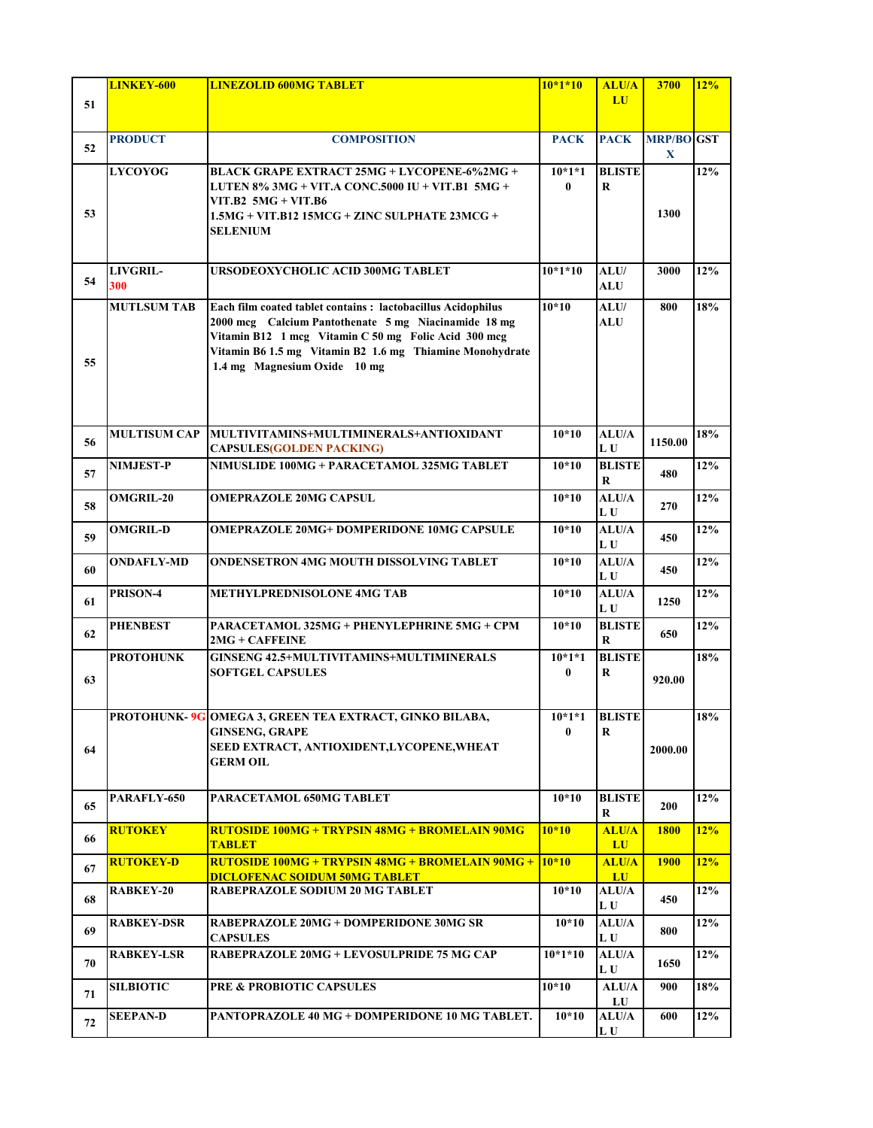|    | <b>LINKEY-600</b>   | <b>LINEZOLID 600MG TABLET</b>                                                                                    | $10*1*10$            | <b>ALU/A</b>        | 3700                              | 12% |
|----|---------------------|------------------------------------------------------------------------------------------------------------------|----------------------|---------------------|-----------------------------------|-----|
| 51 |                     |                                                                                                                  |                      | LU                  |                                   |     |
|    |                     |                                                                                                                  |                      |                     |                                   |     |
| 52 | <b>PRODUCT</b>      | <b>COMPOSITION</b>                                                                                               | <b>PACK</b>          | <b>PACK</b>         | <b>MRP/BO GST</b><br>$\mathbf{X}$ |     |
|    | <b>LYCOYOG</b>      | <b>BLACK GRAPE EXTRACT 25MG + LYCOPENE-6%2MG +</b>                                                               | $10*1*1$             | <b>BLISTE</b>       |                                   | 12% |
|    |                     | LUTEN 8% 3MG + VIT.A CONC.5000 IU + VIT.B1 5MG +                                                                 | $\bf{0}$             | R                   |                                   |     |
| 53 |                     | VIT.B2 5MG + VIT.B6                                                                                              |                      |                     | 1300                              |     |
|    |                     | <b>SELENIUM</b>                                                                                                  |                      |                     |                                   |     |
|    |                     |                                                                                                                  |                      |                     |                                   |     |
|    | LIVGRIL-            | URSODEOXYCHOLIC ACID 300MG TABLET                                                                                | $10*1*10$            | ALU/                | 3000                              | 12% |
| 54 | 300                 |                                                                                                                  |                      | <b>ALU</b>          |                                   |     |
|    | <b>MUTLSUM TAB</b>  | Each film coated tablet contains : lactobacillus Acidophilus                                                     | $10*10$              | ALU/                | 800                               | 18% |
|    |                     | 2000 mcg Calcium Pantothenate 5 mg Niacinamide 18 mg                                                             |                      | <b>ALU</b>          |                                   |     |
|    |                     | Vitamin B12 1 mcg Vitamin C 50 mg Folic Acid 300 mcg<br>Vitamin B6 1.5 mg Vitamin B2 1.6 mg Thiamine Monohydrate |                      |                     |                                   |     |
| 55 |                     | 1.4 mg Magnesium Oxide 10 mg                                                                                     |                      |                     |                                   |     |
|    |                     |                                                                                                                  |                      |                     |                                   |     |
|    |                     |                                                                                                                  |                      |                     |                                   |     |
|    | <b>MULTISUM CAP</b> |                                                                                                                  | $10*10$              | ALU/A               |                                   | 18% |
| 56 |                     | MULTIVITAMINS+MULTIMINERALS+ANTIOXIDANT<br><b>CAPSULES(GOLDEN PACKING)</b>                                       |                      | LU                  | 1150.00                           |     |
|    | <b>NIMJEST-P</b>    | NIMUSLIDE 100MG + PARACETAMOL 325MG TABLET                                                                       | $10*10$              | <b>BLISTE</b>       |                                   | 12% |
| 57 |                     |                                                                                                                  |                      | R                   | 480                               |     |
| 58 | OMGRIL-20           | <b>OMEPRAZOLE 20MG CAPSUL</b>                                                                                    | $10*10$              | <b>ALU/A</b><br>LU  | 270                               | 12% |
|    | <b>OMGRIL-D</b>     | <b>OMEPRAZOLE 20MG+ DOMPERIDONE 10MG CAPSULE</b>                                                                 | $10*10$              | ALU/A               |                                   | 12% |
| 59 |                     |                                                                                                                  |                      | LU                  | 450                               |     |
| 60 | <b>ONDAFLY-MD</b>   | <b>ONDENSETRON 4MG MOUTH DISSOLVING TABLET</b>                                                                   | $10*10$              | <b>ALU/A</b>        | 450                               | 12% |
|    |                     |                                                                                                                  |                      | L U                 |                                   |     |
| 61 | PRISON-4            | <b>METHYLPREDNISOLONE 4MG TAB</b>                                                                                | $10*10$              | <b>ALU/A</b><br>L U | 1250                              | 12% |
| 62 | <b>PHENBEST</b>     | PARACETAMOL 325MG + PHENYLEPHRINE 5MG + CPM                                                                      | $10*10$              | <b>BLISTE</b>       | 650                               | 12% |
|    |                     | 2MG + CAFFEINE                                                                                                   |                      | R                   |                                   |     |
|    | <b>PROTOHUNK</b>    | <b>GINSENG 42.5+MULTIVITAMINS+MULTIMINERALS</b><br><b>SOFTGEL CAPSULES</b>                                       | $10*1*1$<br>0        | <b>BLISTE</b><br>R  |                                   | 18% |
| 63 |                     |                                                                                                                  |                      |                     | 920.00                            |     |
|    |                     |                                                                                                                  |                      |                     |                                   |     |
|    |                     | PROTOHUNK-9G OMEGA 3, GREEN TEA EXTRACT, GINKO BILABA,<br><b>GINSENG, GRAPE</b>                                  | $10*1*1$<br>$\bf{0}$ | <b>BLISTE</b><br>R  |                                   | 18% |
| 64 |                     | SEED EXTRACT, ANTIOXIDENT, LYCOPENE, WHEAT                                                                       |                      |                     | 2000.00                           |     |
|    |                     | <b>GERM OIL</b>                                                                                                  |                      |                     |                                   |     |
|    |                     |                                                                                                                  |                      |                     |                                   |     |
| 65 | PARAFLY-650         | PARACETAMOL 650MG TABLET                                                                                         | $10*10$              | <b>BLISTE</b>       | 200                               | 12% |
|    | <b>RUTOKEY</b>      | <b>RUTOSIDE 100MG + TRYPSIN 48MG + BROMELAIN 90MG</b>                                                            | $10*10$              | R<br><b>ALU/A</b>   | <b>1800</b>                       | 12% |
| 66 |                     | <b>TABLET</b>                                                                                                    |                      | LU                  |                                   |     |
| 67 | <b>RUTOKEY-D</b>    | <b>RUTOSIDE 100MG + TRYPSIN 48MG + BROMELAIN 90MG +</b>                                                          | $10*10$              | <b>ALU/A</b>        | <b>1900</b>                       | 12% |
|    | <b>RABKEY-20</b>    | <u>DICLOFENAC SOIDUM 50MG TABLET</u><br>RABEPRAZOLE SODIUM 20 MG TABLET                                          | $10*10$              | LU<br><b>ALU/A</b>  |                                   | 12% |
| 68 |                     |                                                                                                                  |                      | L U                 | 450                               |     |
| 69 | <b>RABKEY-DSR</b>   | <b>RABEPRAZOLE 20MG + DOMPERIDONE 30MG SR</b>                                                                    | $10*10$              | ALU/A               | 800                               | 12% |
|    |                     | <b>CAPSULES</b>                                                                                                  |                      | L U                 |                                   |     |
| 70 | <b>RABKEY-LSR</b>   | RABEPRAZOLE 20MG + LEVOSULPRIDE 75 MG CAP                                                                        | $10*1*10$            | <b>ALU/A</b><br>L U | 1650                              | 12% |
|    | <b>SILBIOTIC</b>    | <b>PRE &amp; PROBIOTIC CAPSULES</b>                                                                              | $10*10$              | <b>ALU/A</b>        | 900                               | 18% |
| 71 |                     |                                                                                                                  |                      | LU                  |                                   |     |
| 72 | <b>SEEPAN-D</b>     | PANTOPRAZOLE 40 MG + DOMPERIDONE 10 MG TABLET.                                                                   | $10*10$              | ALU/A               | 600                               | 12% |
|    |                     |                                                                                                                  |                      | L U                 |                                   |     |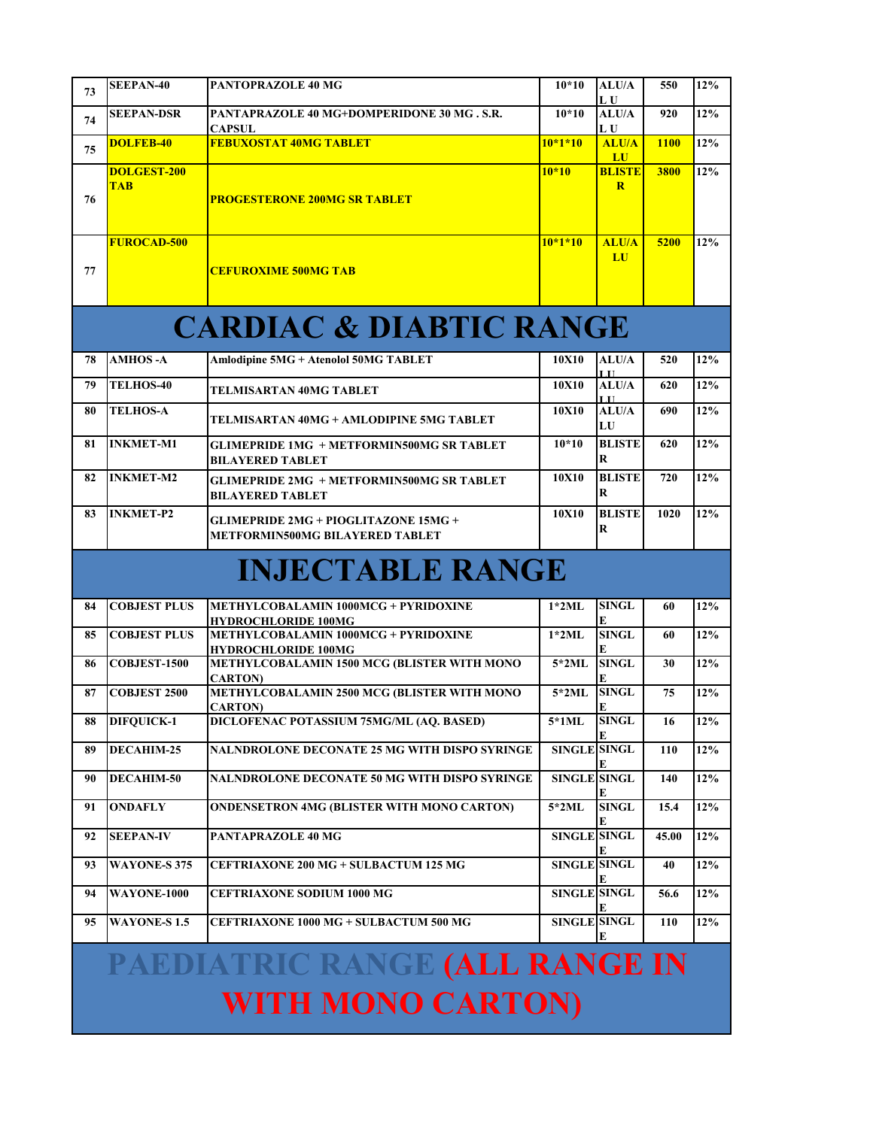| 73 | <b>SEEPAN-40</b>          | <b>PANTOPRAZOLE 40 MG</b>                                                             | $10*10$             | <b>ALU/A</b><br>LU                             | 550         | 12% |
|----|---------------------------|---------------------------------------------------------------------------------------|---------------------|------------------------------------------------|-------------|-----|
| 74 | <b>SEEPAN-DSR</b>         | PANTAPRAZOLE 40 MG+DOMPERIDONE 30 MG.S.R.                                             | $10*10$             | ALU/A                                          | 920         | 12% |
| 75 | <b>DOLFEB-40</b>          | <b>CAPSUL</b><br><b>FEBUXOSTAT 40MG TABLET</b>                                        | $10*1*10$           | L U<br><b>ALU/A</b>                            | <b>1100</b> | 12% |
| 76 | DOLGEST-200<br><b>TAB</b> | <b>PROGESTERONE 200MG SR TABLET</b>                                                   | $10*10$             | LU<br><b>BLISTE</b><br>$\overline{\mathbf{R}}$ | 3800        | 12% |
| 77 | <b>FUROCAD-500</b>        | <b>CEFUROXIME 500MG TAB</b>                                                           | $10*1*10$           | <b>ALU/A</b><br>LU                             | 5200        | 12% |
|    |                           | <b>CARDIAC &amp; DIABTIC RANGE</b>                                                    |                     |                                                |             |     |
| 78 | <b>AMHOS-A</b>            | <b>Amlodipine 5MG + Atenolol 50MG TABLET</b>                                          | 10X10               | <b>ALU/A</b>                                   | 520         | 12% |
| 79 | TELHOS-40                 | <b>TELMISARTAN 40MG TABLET</b>                                                        | 10X10               | LIL<br>ALU/A<br>LU                             | 620         | 12% |
| 80 | <b>TELHOS-A</b>           | TELMISARTAN 40MG + AMLODIPINE 5MG TABLET                                              | 10X10               | <b>ALU/A</b><br>LU                             | 690         | 12% |
| 81 | <b>INKMET-M1</b>          | <b>GLIMEPRIDE 1MG + METFORMIN500MG SR TABLET</b><br><b>BILAYERED TABLET</b>           | $10*10$             | <b>BLISTE</b><br>R                             | 620         | 12% |
| 82 | <b>INKMET-M2</b>          | <b>GLIMEPRIDE 2MG + METFORMIN500MG SR TABLET</b><br><b>BILAYERED TABLET</b>           | 10X10               | <b>BLISTE</b><br>R                             | 720         | 12% |
| 83 | <b>INKMET-P2</b>          | <b>GLIMEPRIDE 2MG + PIOGLITAZONE 15MG +</b><br><b>METFORMIN500MG BILAYERED TABLET</b> | 10X10               | <b>BLISTE</b><br>R                             | 1020        | 12% |
|    |                           | <b>INJECTABLE RANGE</b>                                                               |                     |                                                |             |     |
| 84 | <b>COBJEST PLUS</b>       | <b>METHYLCOBALAMIN 1000MCG + PYRIDOXINE</b>                                           | $1*2ML$             | <b>SINGL</b>                                   | 60          | 12% |
| 85 | <b>COBJEST PLUS</b>       | <b>HYDROCHLORIDE 100MG</b><br>METHYLCOBALAMIN 1000MCG + PYRIDOXINE                    |                     | E<br><b>SINGL</b>                              |             |     |
| 86 |                           |                                                                                       | $1*2ML$             |                                                | 60          | 12% |
|    | <b>COBJEST-1500</b>       | <b>HYDROCHLORIDE 100MG</b><br>METHYLCOBALAMIN 1500 MCG (BLISTER WITH MONO             | $5*2ML$             | E<br><b>SINGL</b>                              | 30          | 12% |
| 87 | <b>COBJEST 2500</b>       | <b>CARTON</b><br>METHYLCOBALAMIN 2500 MCG (BLISTER WITH MONO                          | $5*2ML$             | E<br><b>SINGL</b><br>E                         | 75          | 12% |
| 88 | <b>DIFQUICK-1</b>         | <b>CARTON</b><br>DICLOFENAC POTASSIUM 75MG/ML (AQ. BASED)                             | 5*1ML               | <b>SINGL</b><br>E                              | 16          | 12% |
| 89 | DECAHIM-25                | NALNDROLONE DECONATE 25 MG WITH DISPO SYRINGE                                         | <b>SINGLE SINGL</b> |                                                | 110         | 12% |
| 90 | DECAHIM-50                | NALNDROLONE DECONATE 50 MG WITH DISPO SYRINGE                                         | <b>SINGLE SINGL</b> |                                                | 140         | 12% |
| 91 | <b>ONDAFLY</b>            | <b>ONDENSETRON 4MG (BLISTER WITH MONO CARTON)</b>                                     | $5*2ML$             | <b>SINGL</b>                                   | 15.4        | 12% |
| 92 | <b>SEEPAN-IV</b>          | <b>PANTAPRAZOLE 40 MG</b>                                                             | <b>SINGLE SINGL</b> |                                                | 45.00       | 12% |
| 93 | <b>WAYONE-S375</b>        | CEFTRIAXONE 200 MG + SULBACTUM 125 MG                                                 | <b>SINGLE SINGL</b> |                                                | 40          | 12% |
| 94 | <b>WAYONE-1000</b>        | <b>CEFTRIAXONE SODIUM 1000 MG</b>                                                     | <b>SINGLE SINGL</b> | E                                              | 56.6        | 12% |
| 95 | <b>WAYONE-S1.5</b>        | <b>CEFTRIAXONE 1000 MG + SULBACTUM 500 MG</b>                                         | <b>SINGLE SINGL</b> | E                                              | 110         | 12% |
|    |                           | PAEDIATRIC RANGE (ALL RANGE IN                                                        |                     |                                                |             |     |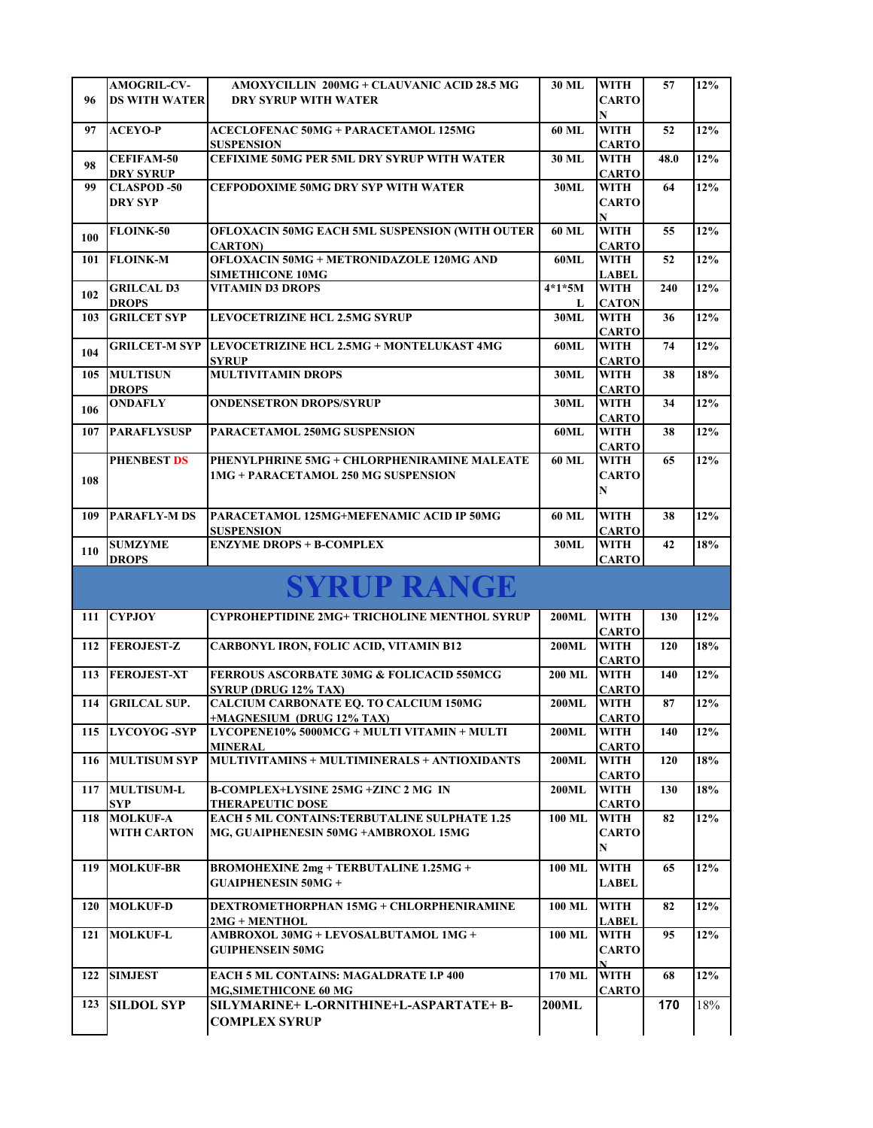| 96  | <b>AMOGRIL-CV-</b><br><b>DS WITH WATER</b>          | AMOXYCILLIN 200MG + CLAUVANIC ACID 28.5 MG<br><b>DRY SYRUP WITH WATER</b>                                               | 30 ML         | <b>WITH</b><br><b>CARTO</b>                      | 57   | 12% |
|-----|-----------------------------------------------------|-------------------------------------------------------------------------------------------------------------------------|---------------|--------------------------------------------------|------|-----|
| 97  | <b>ACEYO-P</b>                                      | ACECLOFENAC 50MG + PARACETAMOL 125MG                                                                                    | 60 ML         | ${\bf N}$<br><b>WITH</b>                         | 52   | 12% |
|     |                                                     | <b>SUSPENSION</b>                                                                                                       |               | <b>CARTO</b>                                     |      |     |
| 98  | <b>CEFIFAM-50</b><br><b>DRY SYRUP</b>               | <b>CEFIXIME 50MG PER 5ML DRY SYRUP WITH WATER</b>                                                                       | 30 ML         | <b>WITH</b><br><b>CARTO</b>                      | 48.0 | 12% |
| 99  | <b>CLASPOD-50</b><br><b>DRY SYP</b>                 | <b>CEFPODOXIME 50MG DRY SYP WITH WATER</b>                                                                              | <b>30ML</b>   | <b>WITH</b><br><b>CARTO</b><br>${\bf N}$         | 64   | 12% |
| 100 | FLOINK-50                                           | OFLOXACIN 50MG EACH 5ML SUSPENSION (WITH OUTER<br><b>CARTON</b> )                                                       | 60 ML         | <b>WITH</b><br><b>CARTO</b>                      | 55   | 12% |
| 101 | <b>FLOINK-M</b>                                     | <b>OFLOXACIN 50MG + METRONIDAZOLE 120MG AND</b><br>SIMETHICONE 10MG                                                     | <b>60ML</b>   | <b>WITH</b><br><b>LABEL</b>                      | 52   | 12% |
| 102 | <b>GRILCAL D3</b><br><b>DROPS</b>                   | <b>VITAMIN D3 DROPS</b>                                                                                                 | $4*1*5M$<br>L | <b>WITH</b><br><b>CATON</b>                      | 240  | 12% |
| 103 | <b>GRILCET SYP</b>                                  | <b>LEVOCETRIZINE HCL 2.5MG SYRUP</b>                                                                                    | <b>30ML</b>   | <b>WITH</b><br><b>CARTO</b>                      | 36   | 12% |
| 104 | <b>GRILCET-M SYP</b>                                | LEVOCETRIZINE HCL 2.5MG + MONTELUKAST 4MG<br><b>SYRUP</b>                                                               | <b>60ML</b>   | <b>WITH</b><br><b>CARTO</b>                      | 74   | 12% |
| 105 | <b>MULTISUN</b><br><b>DROPS</b>                     | <b>MULTIVITAMIN DROPS</b>                                                                                               | <b>30ML</b>   | <b>WITH</b><br><b>CARTO</b>                      | 38   | 18% |
| 106 | <b>ONDAFLY</b>                                      | <b>ONDENSETRON DROPS/SYRUP</b>                                                                                          | <b>30ML</b>   | <b>WITH</b><br><b>CARTO</b>                      | 34   | 12% |
| 107 | <b>PARAFLYSUSP</b>                                  | PARACETAMOL 250MG SUSPENSION                                                                                            | <b>60ML</b>   | <b>WITH</b><br><b>CARTO</b>                      | 38   | 12% |
| 108 | <b>PHENBEST DS</b>                                  | PHENYLPHRINE 5MG + CHLORPHENIRAMINE MALEATE<br><b>1MG + PARACETAMOL 250 MG SUSPENSION</b>                               | 60 ML         | <b>WITH</b><br><b>CARTO</b><br>N                 | 65   | 12% |
| 109 | <b>PARAFLY-M DS</b>                                 | PARACETAMOL 125MG+MEFENAMIC ACID IP 50MG<br><b>SUSPENSION</b>                                                           | 60 ML         | <b>WITH</b><br><b>CARTO</b>                      | 38   | 12% |
| 110 | <b>SUMZYME</b><br><b>DROPS</b>                      | <b>ENZYME DROPS + B-COMPLEX</b>                                                                                         | <b>30ML</b>   | <b>WITH</b><br><b>CARTO</b>                      | 42   | 18% |
|     |                                                     | <b>SYRUP RANGE</b>                                                                                                      |               |                                                  |      |     |
| 111 |                                                     |                                                                                                                         |               |                                                  |      |     |
|     | <b>CYPJOY</b>                                       | <b>CYPROHEPTIDINE 2MG+ TRICHOLINE MENTHOL SYRUP</b>                                                                     | <b>200ML</b>  | <b>WITH</b>                                      | 130  | 12% |
| 112 | <b>FEROJEST-Z</b>                                   | <b>CARBONYL IRON, FOLIC ACID, VITAMIN B12</b>                                                                           | <b>200ML</b>  | <b>CARTO</b><br><b>WITH</b>                      | 120  | 18% |
| 113 | <b>FEROJEST-XT</b>                                  | <b>FERROUS ASCORBATE 30MG &amp; FOLICACID 550MCG</b>                                                                    | <b>200 ML</b> | <b>CARTO</b><br>WITH                             | 140  | 12% |
| 114 | <b>GRILCAL SUP.</b>                                 | <b>SYRUP (DRUG 12% TAX)</b><br><b>CALCIUM CARBONATE EO. TO CALCIUM 150MG</b>                                            | <b>200ML</b>  | <b>CARTO</b><br><b>WITH</b>                      | 87   | 12% |
|     | 115 LYCOYOG -SYP                                    | +MAGNESIUM (DRUG 12% TAX)<br>LYCOPENE10% 5000MCG + MULTI VITAMIN + MULTI<br><b>MINERAL</b>                              | <b>200ML</b>  | <b>CARTO</b><br>WITH<br><b>CARTO</b>             | 140  | 12% |
| 116 | <b>MULTISUM SYP</b>                                 | MULTIVITAMINS + MULTIMINERALS + ANTIOXIDANTS                                                                            | <b>200ML</b>  | <b>WITH</b><br><b>CARTO</b>                      | 120  | 18% |
| 117 | <b>MULTISUM-L</b>                                   | <b>B-COMPLEX+LYSINE 25MG +ZINC 2 MG IN</b>                                                                              | <b>200ML</b>  | <b>WITH</b>                                      | 130  | 18% |
| 118 | <b>SYP</b><br><b>MOLKUF-A</b><br><b>WITH CARTON</b> | <b>THERAPEUTIC DOSE</b><br><b>EACH 5 ML CONTAINS: TERBUTALINE SULPHATE 1.25</b><br>MG, GUAIPHENESIN 50MG +AMBROXOL 15MG | 100 ML        | <b>CARTO</b><br><b>WITH</b><br><b>CARTO</b><br>N | 82   | 12% |
| 119 | <b>MOLKUF-BR</b>                                    | <b>BROMOHEXINE 2mg + TERBUTALINE 1.25MG +</b><br><b>GUAIPHENESIN 50MG +</b>                                             | <b>100 ML</b> | <b>WITH</b><br><b>LABEL</b>                      | 65   | 12% |
| 120 | <b>MOLKUF-D</b>                                     | DEXTROMETHORPHAN 15MG + CHLORPHENIRAMINE                                                                                | 100 ML        | <b>WITH</b>                                      | 82   | 12% |
| 121 | <b>MOLKUF-L</b>                                     | 2MG + MENTHOL<br>AMBROXOL 30MG + LEVOSALBUTAMOL 1MG +<br><b>GUIPHENSEIN 50MG</b>                                        | 100 ML        | <b>LABEL</b><br><b>WITH</b><br><b>CARTO</b>      | 95   | 12% |
| 122 | <b>SIMJEST</b>                                      | EACH 5 ML CONTAINS: MAGALDRATE I,P 400<br><b>MG,SIMETHICONE 60 MG</b>                                                   | 170 ML        | <b>WITH</b><br><b>CARTO</b>                      | 68   | 12% |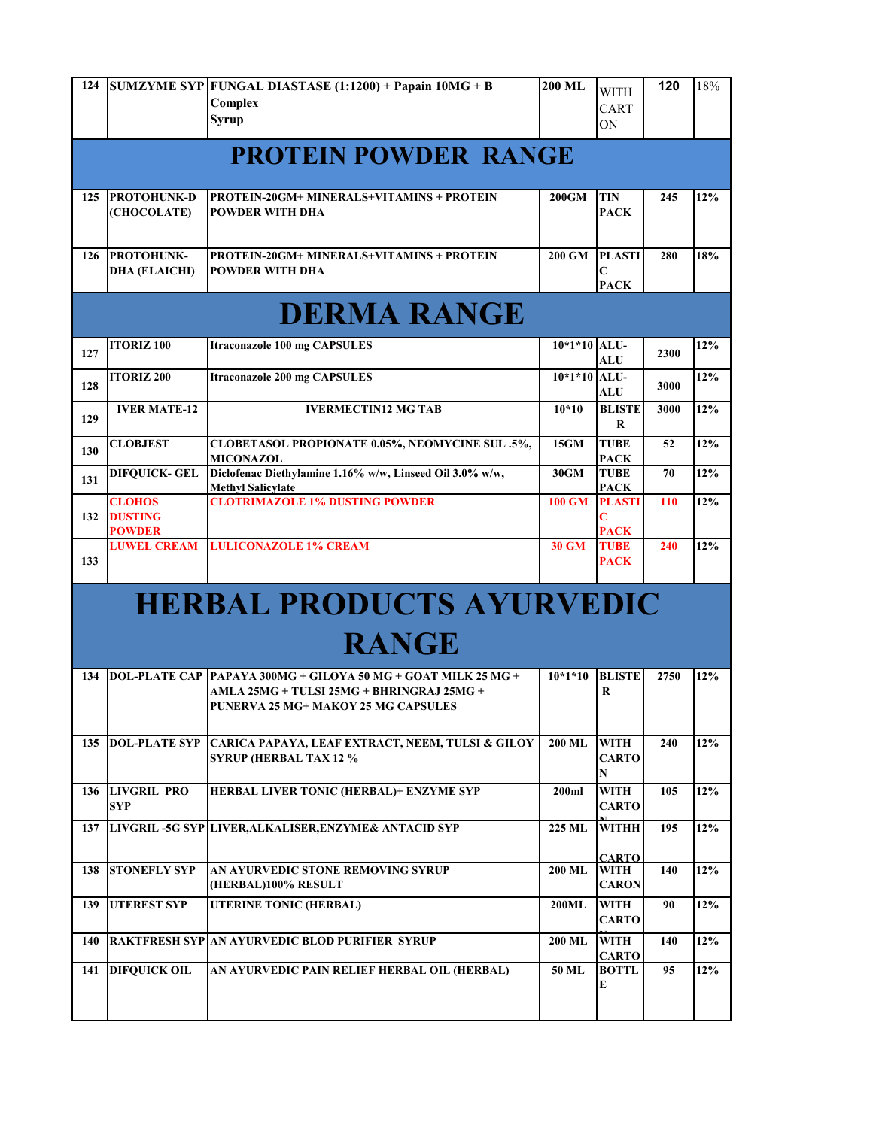| 124 |                                 | SUMZYME SYP FUNGAL DIASTASE (1:1200) + Papain 10MG + B                                          | 200 ML        | <b>WITH</b>                 | 120  | 18% |
|-----|---------------------------------|-------------------------------------------------------------------------------------------------|---------------|-----------------------------|------|-----|
|     |                                 | <b>Complex</b>                                                                                  |               | CART                        |      |     |
|     |                                 | <b>Syrup</b>                                                                                    |               | ON                          |      |     |
|     |                                 | <b>PROTEIN POWDER RANGE</b>                                                                     |               |                             |      |     |
|     |                                 |                                                                                                 |               |                             |      |     |
| 125 | <b>PROTOHUNK-D</b>              | <b>PROTEIN-20GM+ MINERALS+VITAMINS + PROTEIN</b>                                                | 200GM         | <b>TIN</b>                  | 245  | 12% |
|     | (CHOCOLATE)                     | <b>POWDER WITH DHA</b>                                                                          |               | <b>PACK</b>                 |      |     |
|     |                                 |                                                                                                 |               |                             |      |     |
| 126 | PROTOHUNK-                      | <b>PROTEIN-20GM+ MINERALS+VITAMINS + PROTEIN</b>                                                | <b>200 GM</b> | <b>PLASTI</b>               | 280  | 18% |
|     | <b>DHA (ELAICHI)</b>            | <b>POWDER WITH DHA</b>                                                                          |               | C<br><b>PACK</b>            |      |     |
|     |                                 | <b>DERMA RANGE</b>                                                                              |               |                             |      |     |
|     | <b>ITORIZ 100</b>               | <b>Itraconazole 100 mg CAPSULES</b>                                                             | 10*1*10 ALU-  |                             |      | 12% |
| 127 |                                 |                                                                                                 |               | ALU                         | 2300 |     |
| 128 | <b>ITORIZ 200</b>               | <b>Itraconazole 200 mg CAPSULES</b>                                                             | $10*1*10$     | ALU-<br><b>ALU</b>          | 3000 | 12% |
|     | <b>IVER MATE-12</b>             | <b>IVERMECTIN12 MG TAB</b>                                                                      | $10*10$       | <b>BLISTE</b>               | 3000 | 12% |
| 129 |                                 |                                                                                                 |               | R                           |      |     |
| 130 | <b>CLOBJEST</b>                 | CLOBETASOL PROPIONATE 0.05%, NEOMYCINE SUL .5%,<br><b>MICONAZOL</b>                             | 15GM          | <b>TUBE</b><br><b>PACK</b>  | 52   | 12% |
| 131 | <b>DIFQUICK-GEL</b>             | Diclofenac Diethylamine 1.16% w/w, Linseed Oil 3.0% w/w,<br><b>Methyl Salicylate</b>            | 30GM          | <b>TUBE</b><br><b>PACK</b>  | 70   | 12% |
| 132 | <b>CLOHOS</b><br><b>DUSTING</b> | <b>CLOTRIMAZOLE 1% DUSTING POWDER</b>                                                           | <b>100 GM</b> | <b>PLASTI</b><br>C          | 110  | 12% |
|     | <b>POWDER</b>                   |                                                                                                 |               | <b>PACK</b>                 |      |     |
|     | <b>LUWEL CREAM</b>              | <b>LULICONAZOLE 1% CREAM</b>                                                                    | <b>30 GM</b>  | <b>TUBE</b>                 | 240  | 12% |
| 133 |                                 |                                                                                                 |               | <b>PACK</b>                 |      |     |
|     |                                 | <b>HERBAL PRODUCTS AYURVEDIC</b>                                                                |               |                             |      |     |
|     |                                 |                                                                                                 |               |                             |      |     |
|     |                                 | <b>RANGE</b>                                                                                    |               |                             |      |     |
| 134 |                                 | DOL-PLATE CAP   PAPAYA 300MG + GILOYA 50 MG + GOAT MILK 25 MG +                                 | $10*1*10$     | <b>BLISTE</b>               | 2750 | 12% |
|     |                                 | AMLA 25MG + TULSI 25MG + BHRINGRAJ 25MG +                                                       |               | R                           |      |     |
|     |                                 | <b>PUNERVA 25 MG+ MAKOY 25 MG CAPSULES</b>                                                      |               |                             |      |     |
|     |                                 |                                                                                                 |               |                             |      |     |
| 135 |                                 | DOL-PLATE SYP CARICA PAPAYA, LEAF EXTRACT, NEEM, TULSI & GILOY<br><b>SYRUP (HERBAL TAX 12 %</b> | <b>200 ML</b> | <b>WITH</b><br><b>CARTO</b> | 240  | 12% |
|     |                                 |                                                                                                 |               | ${\bf N}$                   |      |     |
|     | 136 LIVGRIL PRO                 | HERBAL LIVER TONIC (HERBAL)+ ENZYME SYP                                                         | 200ml         | <b>WITH</b>                 | 105  | 12% |
|     | <b>SYP</b>                      |                                                                                                 |               | <b>CARTO</b>                |      |     |
| 137 |                                 | LIVGRIL -5G SYP LIVER, ALKALISER, ENZYME& ANTACID SYP                                           | 225 ML        | <b>WITHH</b>                | 195  | 12% |
|     |                                 |                                                                                                 |               | <b>CARTO</b>                |      |     |
| 138 | <b>STONEFLY SYP</b>             | AN AYURVEDIC STONE REMOVING SYRUP                                                               | <b>200 ML</b> | <b>WITH</b>                 | 140  | 12% |
|     |                                 | (HERBAL)100% RESULT                                                                             |               | <b>CARON</b>                |      |     |
| 139 | <b>UTEREST SYP</b>              | UTERINE TONIC (HERBAL)                                                                          | <b>200ML</b>  | <b>WITH</b>                 | 90   | 12% |
|     |                                 |                                                                                                 |               | <b>CARTO</b>                |      |     |
| 140 |                                 | RAKTFRESH SYP AN AYURVEDIC BLOD PURIFIER SYRUP                                                  | <b>200 ML</b> | <b>WITH</b><br><b>CARTO</b> | 140  | 12% |
| 141 | <b>DIFQUICK OIL</b>             | AN AYURVEDIC PAIN RELIEF HERBAL OIL (HERBAL)                                                    | 50 ML         | <b>BOTTL</b>                | 95   | 12% |
|     |                                 |                                                                                                 |               | ${\bf E}$                   |      |     |
|     |                                 |                                                                                                 |               |                             |      |     |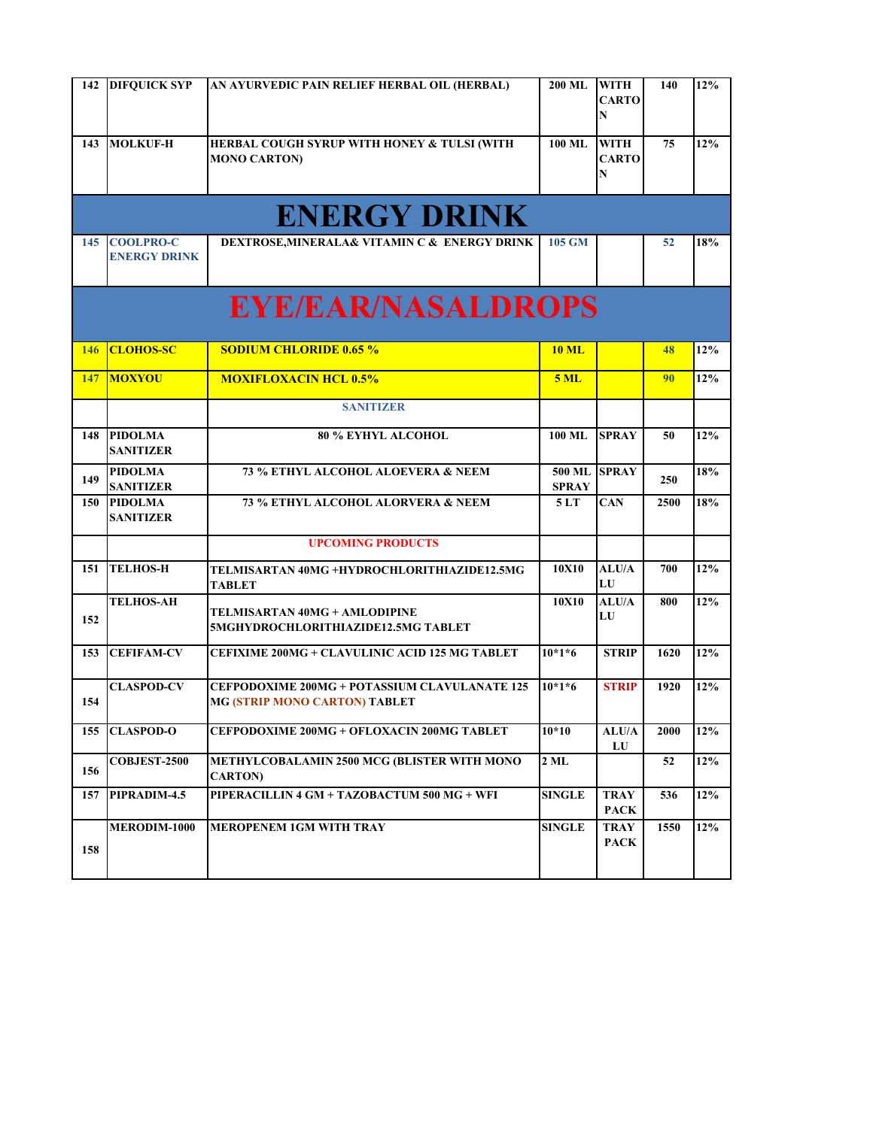| 142        | <b>DIFOUICK SYP</b>                     | AN AYURVEDIC PAIN RELIEF HERBAL OIL (HERBAL)                                                 | <b>200 ML</b>                | <b>WITH</b><br><b>CARTO</b><br>${\bf N}$ | 140  | 12% |
|------------|-----------------------------------------|----------------------------------------------------------------------------------------------|------------------------------|------------------------------------------|------|-----|
| 143        | <b>MOLKUF-H</b>                         | HERBAL COUGH SYRUP WITH HONEY & TULSI (WITH<br><b>MONO CARTON)</b>                           | <b>100 ML</b>                | <b>WITH</b><br><b>CARTO</b><br>${\bf N}$ | 75   | 12% |
|            |                                         | <b>ENERGY DRINK</b>                                                                          |                              |                                          |      |     |
| 145        | <b>COOLPRO-C</b><br><b>ENERGY DRINK</b> | DEXTROSE, MINERALA& VITAMIN C & ENERGY DRINK                                                 | <b>105 GM</b>                |                                          | 52   | 18% |
|            |                                         | <b>EYE/EAR/NASALDROPS</b>                                                                    |                              |                                          |      |     |
| <b>146</b> | <b>CLOHOS-SC</b>                        | <b>SODIUM CHLORIDE 0.65 %</b>                                                                | <b>10 ML</b>                 |                                          | 48   | 12% |
| 147        | <b>MOXYOU</b>                           | <b>MOXIFLOXACIN HCL 0.5%</b>                                                                 | 5ML                          |                                          | 90   | 12% |
|            |                                         | <b>SANITIZER</b>                                                                             |                              |                                          |      |     |
| 148        | <b>PIDOLMA</b><br><b>SANITIZER</b>      | <b>80 % EYHYL ALCOHOL</b>                                                                    | <b>100 ML</b>                | <b>SPRAY</b>                             | 50   | 12% |
| 149        | <b>PIDOLMA</b><br><b>SANITIZER</b>      | 73 % ETHYL ALCOHOL ALOEVERA & NEEM                                                           | 500 ML SPRAY<br><b>SPRAY</b> |                                          | 250  | 18% |
| 150        | <b>PIDOLMA</b><br><b>SANITIZER</b>      | 73 % ETHYL ALCOHOL ALORVERA & NEEM                                                           | 5LT                          | <b>CAN</b>                               | 2500 | 18% |
|            |                                         | <b>UPCOMING PRODUCTS</b>                                                                     |                              |                                          |      |     |
| 151        | <b>TELHOS-H</b>                         | TELMISARTAN 40MG +HYDROCHLORITHIAZIDE12.5MG<br>TABLET                                        | 10X10                        | <b>ALU/A</b><br>LU                       | 700  | 12% |
| 152        | <b>TELHOS-AH</b>                        | TELMISARTAN 40MG + AMLODIPINE<br>5MGHYDROCHLORITHIAZIDE12.5MG TABLET                         | 10X10                        | ALU/A<br>LU                              | 800  | 12% |
| 153        | <b>CEFIFAM-CV</b>                       | <b>CEFIXIME 200MG + CLAVULINIC ACID 125 MG TABLET</b>                                        | $10*1*6$                     | <b>STRIP</b>                             | 1620 | 12% |
| 154        | <b>CLASPOD-CV</b>                       | <b>CEFPODOXIME 200MG + POTASSIUM CLAVULANATE 125</b><br><b>MG (STRIP MONO CARTON) TABLET</b> | $10*1*6$                     | <b>STRIP</b>                             | 1920 | 12% |
| 155        | <b>CLASPOD-O</b>                        | CEFPODOXIME 200MG + OFLOXACIN 200MG TABLET                                                   | $10*10$                      | ALU/A<br>${\bf L}{\bf U}$                | 2000 | 12% |
| 156        | COBJEST-2500                            | METHYLCOBALAMIN 2500 MCG (BLISTER WITH MONO<br><b>CARTON</b>                                 | $2$ ML                       |                                          | 52   | 12% |
| 157        | PIPRADIM-4.5                            | PIPERACILLIN 4 GM + TAZOBACTUM 500 MG + WFI                                                  | <b>SINGLE</b>                | <b>TRAY</b><br><b>PACK</b>               | 536  | 12% |
| 158        | MERODIM-1000                            | <b>MEROPENEM 1GM WITH TRAY</b>                                                               | <b>SINGLE</b>                | <b>TRAY</b><br><b>PACK</b>               | 1550 | 12% |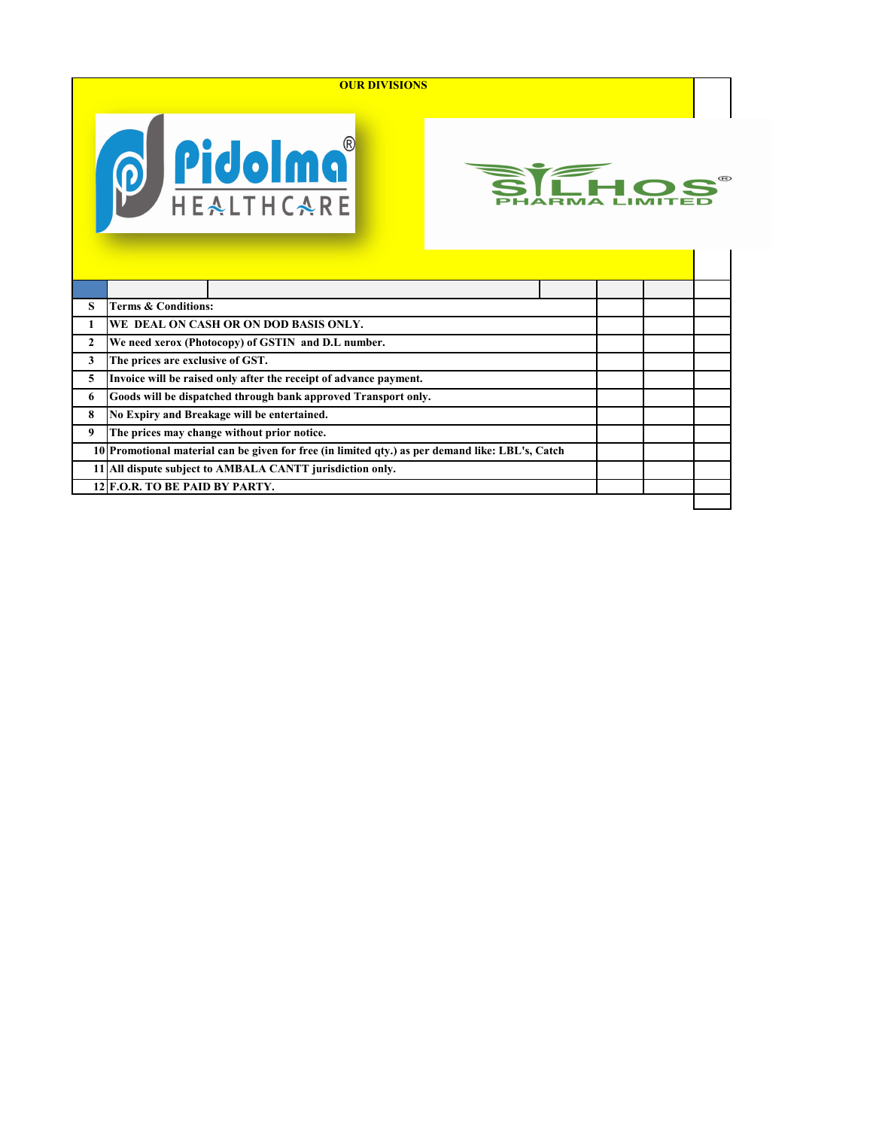## **OUR DIVISIONS**





| s            | <b>Terms &amp; Conditions:</b>                                                                   |  |
|--------------|--------------------------------------------------------------------------------------------------|--|
| 1            | WE DEAL ON CASH OR ON DOD BASIS ONLY.                                                            |  |
| $\mathbf{2}$ | We need xerox (Photocopy) of GSTIN and D.L number.                                               |  |
| 3            | The prices are exclusive of GST.                                                                 |  |
| 5            | Invoice will be raised only after the receipt of advance payment.                                |  |
| 6            | Goods will be dispatched through bank approved Transport only.                                   |  |
| 8            | No Expiry and Breakage will be entertained.                                                      |  |
| 9            | The prices may change without prior notice.                                                      |  |
|              | 10 Promotional material can be given for free (in limited qty.) as per demand like: LBL's, Catch |  |
|              | 11 All dispute subject to AMBALA CANTT jurisdiction only.                                        |  |
|              | 12 F.O.R. TO BE PAID BY PARTY.                                                                   |  |
|              |                                                                                                  |  |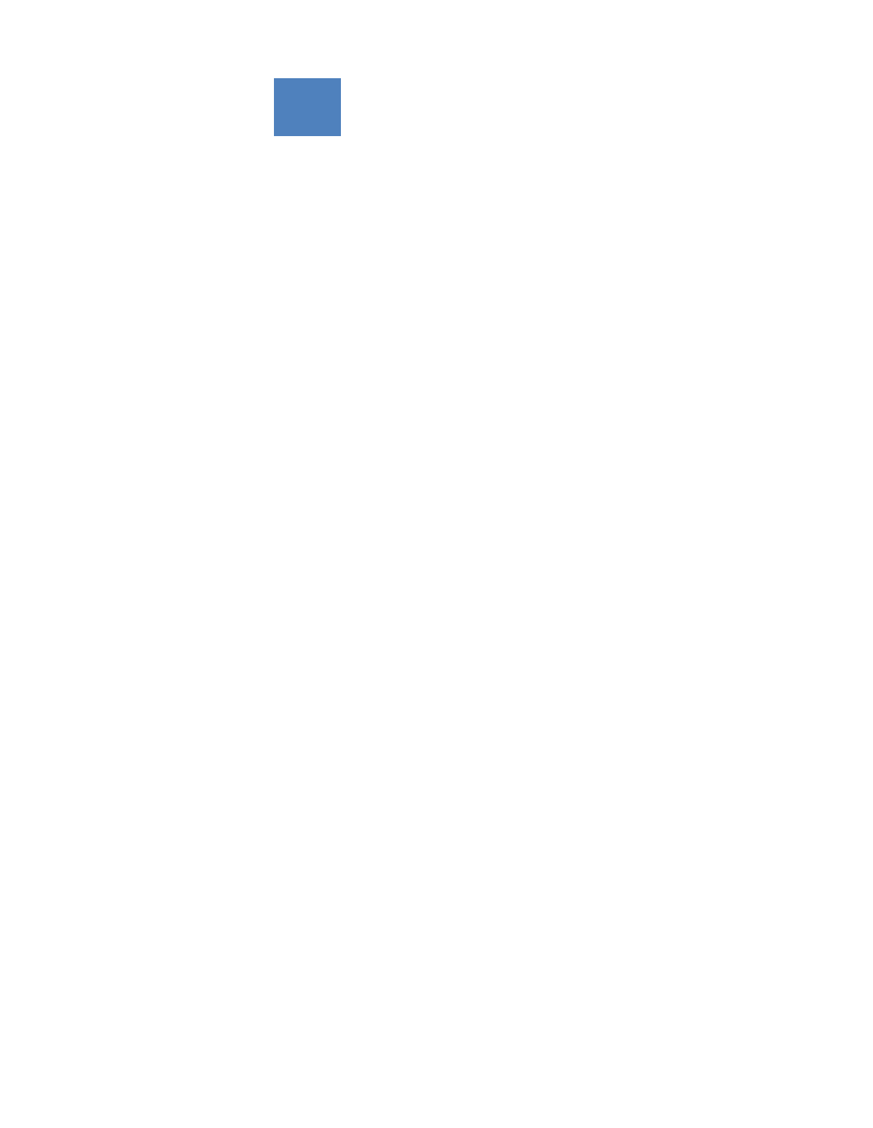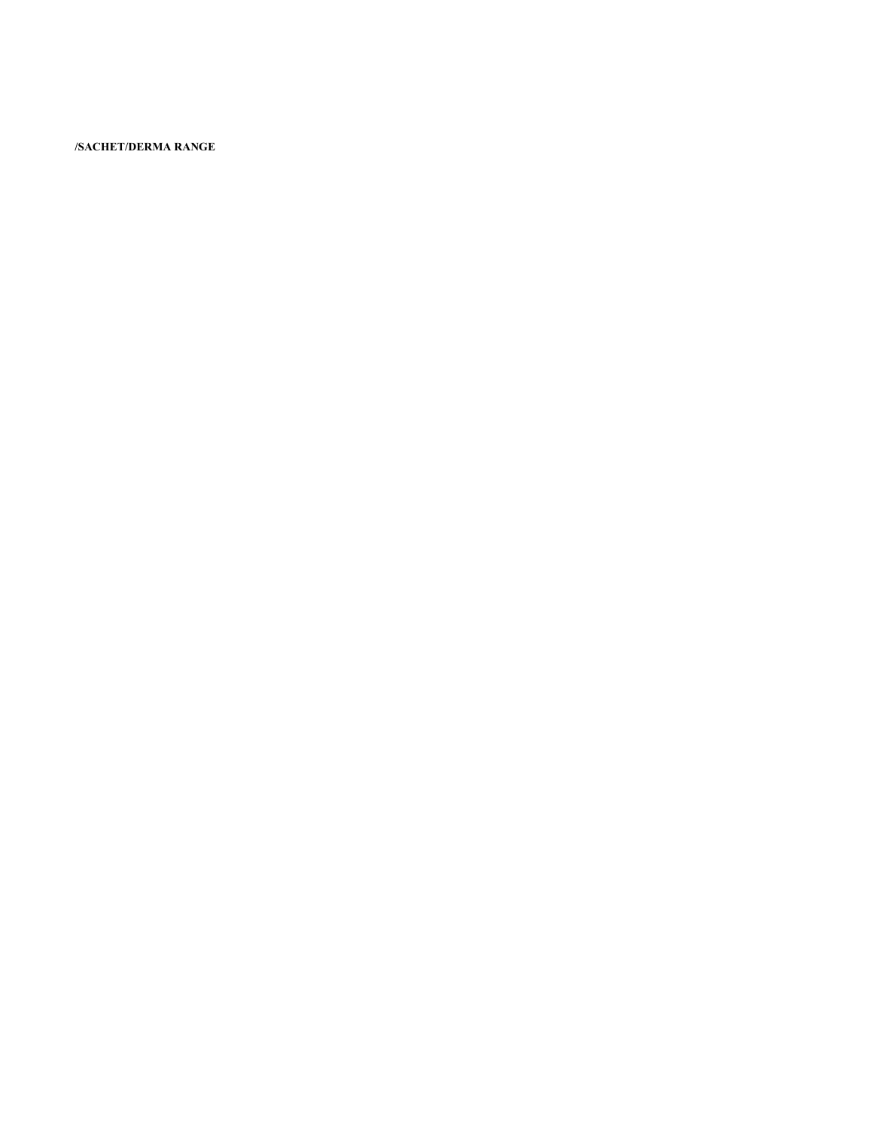**/SACHET/DERMA RANGE**